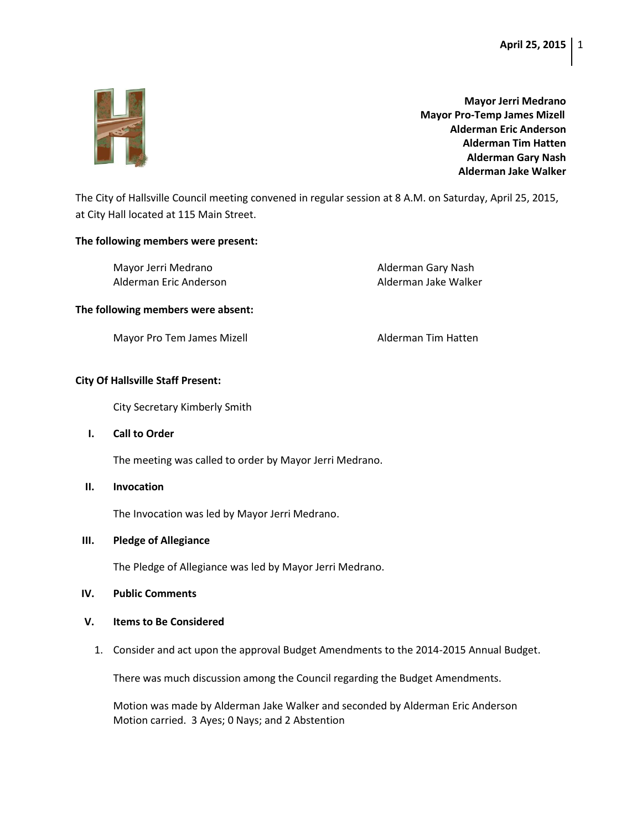

**Mayor Jerri Medrano Mayor Pro-Temp James Mizell Alderman Eric Anderson Alderman Tim Hatten Alderman Gary Nash Alderman Jake Walker**

The City of Hallsville Council meeting convened in regular session at 8 A.M. on Saturday, April 25, 2015, at City Hall located at 115 Main Street.

### **The following members were present:**

Mayor Jerri Medrano **Alderman Gary Nash** Alderman Eric Anderson Alderman Jake Walker

#### **The following members were absent:**

Mayor Pro Tem James Mizell **Alderman Tim Hatten** 

## **City Of Hallsville Staff Present:**

City Secretary Kimberly Smith

**I. Call to Order** 

The meeting was called to order by Mayor Jerri Medrano.

**II. Invocation**

The Invocation was led by Mayor Jerri Medrano.

### **III. Pledge of Allegiance**

The Pledge of Allegiance was led by Mayor Jerri Medrano.

**IV. Public Comments**

## **V. Items to Be Considered**

1. Consider and act upon the approval Budget Amendments to the 2014-2015 Annual Budget.

There was much discussion among the Council regarding the Budget Amendments.

Motion was made by Alderman Jake Walker and seconded by Alderman Eric Anderson Motion carried. 3 Ayes; 0 Nays; and 2 Abstention